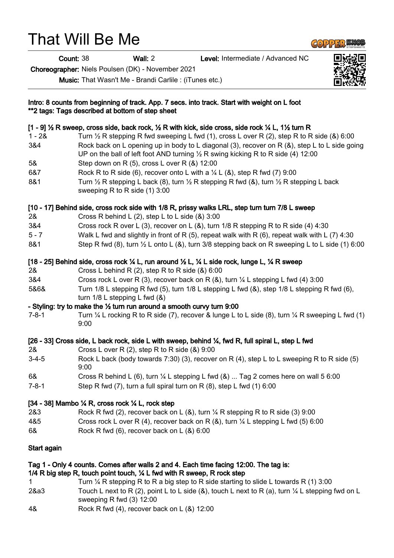## That Will Be Me

Count: 38 Wall: 2 Level: Intermediate / Advanced NC

Choreographer: Niels Poulsen (DK) - November 2021

Music: That Wasn't Me - Brandi Carlile : (iTunes etc.)



- 2&a3 Touch L next to R (2), point L to L side (&), touch L next to R (a), turn ¼ L stepping fwd on L sweeping R fwd (3) 12:00
- 4& Rock R fwd (4), recover back on L (&) 12:00



**GOPPERENCE**